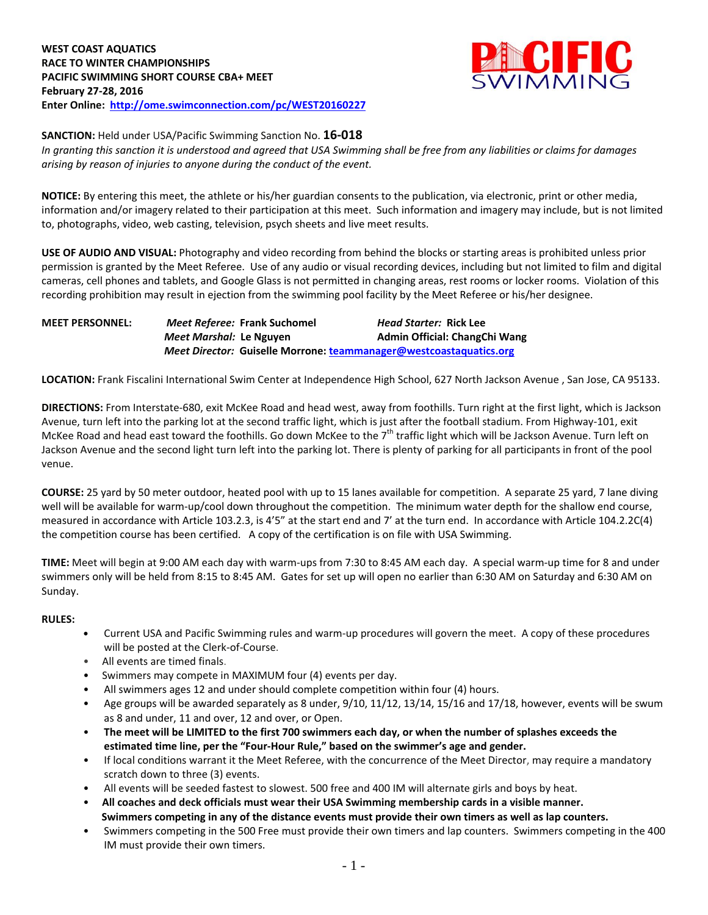

**SANCTION:** Held under USA/Pacific Swimming Sanction No. **16-018**

*In granting this sanction it is understood and agreed that USA Swimming shall be free from any liabilities or claims for damages arising by reason of injuries to anyone during the conduct of the event.*

**NOTICE:** By entering this meet, the athlete or his/her guardian consents to the publication, via electronic, print or other media, information and/or imagery related to their participation at this meet. Such information and imagery may include, but is not limited to, photographs, video, web casting, television, psych sheets and live meet results.

**USE OF AUDIO AND VISUAL:** Photography and video recording from behind the blocks or starting areas is prohibited unless prior permission is granted by the Meet Referee. Use of any audio or visual recording devices, including but not limited to film and digital cameras, cell phones and tablets, and Google Glass is not permitted in changing areas, rest rooms or locker rooms. Violation of this recording prohibition may result in ejection from the swimming pool facility by the Meet Referee or his/her designee.

**MEET PERSONNEL:** *Meet Referee:* **Frank Suchomel** *Head Starter:* **Rick Lee** *Meet Marshal:* Le Nguyen **Admin Official: ChangChi Wang** *Meet Director:* **Guiselle Morrone[: teammanager@westcoastaquatics.org](mailto:teammanager@westcoastaquatics.org)**

**LOCATION:** Frank Fiscalini International Swim Center at Independence High School, 627 North Jackson Avenue , San Jose, CA 95133.

**DIRECTIONS:** From Interstate-680, exit McKee Road and head west, away from foothills. Turn right at the first light, which is Jackson Avenue, turn left into the parking lot at the second traffic light, which is just after the football stadium. From Highway-101, exit McKee Road and head east toward the foothills. Go down McKee to the 7<sup>th</sup> traffic light which will be Jackson Avenue. Turn left on Jackson Avenue and the second light turn left into the parking lot. There is plenty of parking for all participants in front of the pool venue.

**COURSE:** 25 yard by 50 meter outdoor, heated pool with up to 15 lanes available for competition. A separate 25 yard, 7 lane diving well will be available for warm-up/cool down throughout the competition. The minimum water depth for the shallow end course, measured in accordance with Article 103.2.3, is 4'5" at the start end and 7' at the turn end. In accordance with Article 104.2.2C(4) the competition course has been certified. A copy of the certification is on file with USA Swimming.

**TIME:** Meet will begin at 9:00 AM each day with warm-ups from 7:30 to 8:45 AM each day. A special warm-up time for 8 and under swimmers only will be held from 8:15 to 8:45 AM. Gates for set up will open no earlier than 6:30 AM on Saturday and 6:30 AM on Sunday.

#### **RULES:**

- **•** Current USA and Pacific Swimming rules and warm-up procedures will govern the meet. A copy of these procedures will be posted at the Clerk-of-Course.
- All events are timed finals.
- Swimmers may compete in MAXIMUM four (4) events per day.
- All swimmers ages 12 and under should complete competition within four (4) hours.
- Age groups will be awarded separately as 8 under, 9/10, 11/12, 13/14, 15/16 and 17/18, however, events will be swum as 8 and under, 11 and over, 12 and over, or Open.
- **The meet will be LIMITED to the first 700 swimmers each day, or when the number of splashes exceeds the estimated time line, per the "Four-Hour Rule," based on the swimmer's age and gender.**
- If local conditions warrant it the Meet Referee, with the concurrence of the Meet Director, may require a mandatory scratch down to three (3) events.
- All events will be seeded fastest to slowest. 500 free and 400 IM will alternate girls and boys by heat.
- **All coaches and deck officials must wear their USA Swimming membership cards in a visible manner. Swimmers competing in any of the distance events must provide their own timers as well as lap counters.**
- Swimmers competing in the 500 Free must provide their own timers and lap counters. Swimmers competing in the 400 IM must provide their own timers.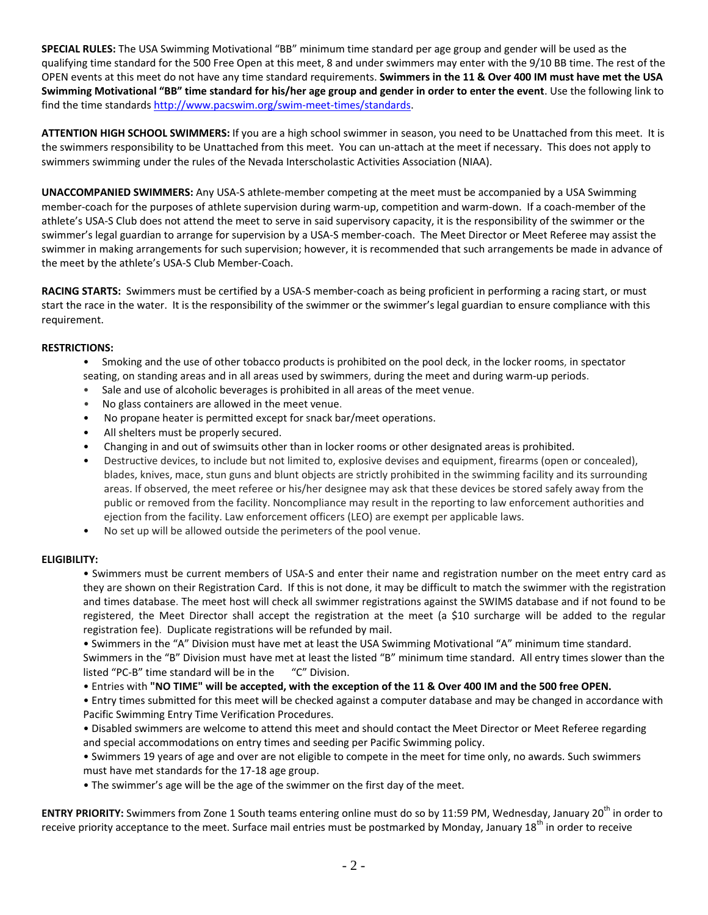**SPECIAL RULES:** The USA Swimming Motivational "BB" minimum time standard per age group and gender will be used as the qualifying time standard for the 500 Free Open at this meet, 8 and under swimmers may enter with the 9/10 BB time. The rest of the OPEN events at this meet do not have any time standard requirements. **Swimmers in the 11 & Over 400 IM must have met the USA Swimming Motivational "BB" time standard for his/her age group and gender in order to enter the event**. Use the following link to find the time standards [http://www.pacswim.org/swim-meet-times/standards.](http://www.pacswim.org/swim-meet-times/standards)

**ATTENTION HIGH SCHOOL SWIMMERS:** If you are a high school swimmer in season, you need to be Unattached from this meet. It is the swimmers responsibility to be Unattached from this meet. You can un-attach at the meet if necessary. This does not apply to swimmers swimming under the rules of the Nevada Interscholastic Activities Association (NIAA).

**UNACCOMPANIED SWIMMERS:** Any USA-S athlete-member competing at the meet must be accompanied by a USA Swimming member-coach for the purposes of athlete supervision during warm-up, competition and warm-down. If a coach-member of the athlete's USA-S Club does not attend the meet to serve in said supervisory capacity, it is the responsibility of the swimmer or the swimmer's legal guardian to arrange for supervision by a USA-S member-coach. The Meet Director or Meet Referee may assist the swimmer in making arrangements for such supervision; however, it is recommended that such arrangements be made in advance of the meet by the athlete's USA-S Club Member-Coach.

**RACING STARTS:** Swimmers must be certified by a USA-S member-coach as being proficient in performing a racing start, or must start the race in the water. It is the responsibility of the swimmer or the swimmer's legal guardian to ensure compliance with this requirement.

### **RESTRICTIONS:**

- Smoking and the use of other tobacco products is prohibited on the pool deck, in the locker rooms, in spectator seating, on standing areas and in all areas used by swimmers, during the meet and during warm-up periods.
- Sale and use of alcoholic beverages is prohibited in all areas of the meet venue.
- No glass containers are allowed in the meet venue.
- No propane heater is permitted except for snack bar/meet operations.
- All shelters must be properly secured.
- Changing in and out of swimsuits other than in locker rooms or other designated areas is prohibited.
- Destructive devices, to include but not limited to, explosive devises and equipment, firearms (open or concealed), blades, knives, mace, stun guns and blunt objects are strictly prohibited in the swimming facility and its surrounding areas. If observed, the meet referee or his/her designee may ask that these devices be stored safely away from the public or removed from the facility. Noncompliance may result in the reporting to law enforcement authorities and ejection from the facility. Law enforcement officers (LEO) are exempt per applicable laws.
- No set up will be allowed outside the perimeters of the pool venue.

## **ELIGIBILITY:**

• Swimmers must be current members of USA-S and enter their name and registration number on the meet entry card as they are shown on their Registration Card. If this is not done, it may be difficult to match the swimmer with the registration and times database. The meet host will check all swimmer registrations against the SWIMS database and if not found to be registered, the Meet Director shall accept the registration at the meet (a \$10 surcharge will be added to the regular registration fee). Duplicate registrations will be refunded by mail.

• Swimmers in the "A" Division must have met at least the USA Swimming Motivational "A" minimum time standard. Swimmers in the "B" Division must have met at least the listed "B" minimum time standard. All entry times slower than the listed "PC-B" time standard will be in the "C" Division.

• Entries with **"NO TIME" will be accepted, with the exception of the 11 & Over 400 IM and the 500 free OPEN.**

• Entry times submitted for this meet will be checked against a computer database and may be changed in accordance with Pacific Swimming Entry Time Verification Procedures.

• Disabled swimmers are welcome to attend this meet and should contact the Meet Director or Meet Referee regarding and special accommodations on entry times and seeding per Pacific Swimming policy.

• Swimmers 19 years of age and over are not eligible to compete in the meet for time only, no awards. Such swimmers must have met standards for the 17-18 age group.

• The swimmer's age will be the age of the swimmer on the first day of the meet.

**ENTRY PRIORITY:** Swimmers from Zone 1 South teams entering online must do so by 11:59 PM, Wednesday, January 20<sup>th</sup> in order to receive priority acceptance to the meet. Surface mail entries must be postmarked by Monday, January 18<sup>th</sup> in order to receive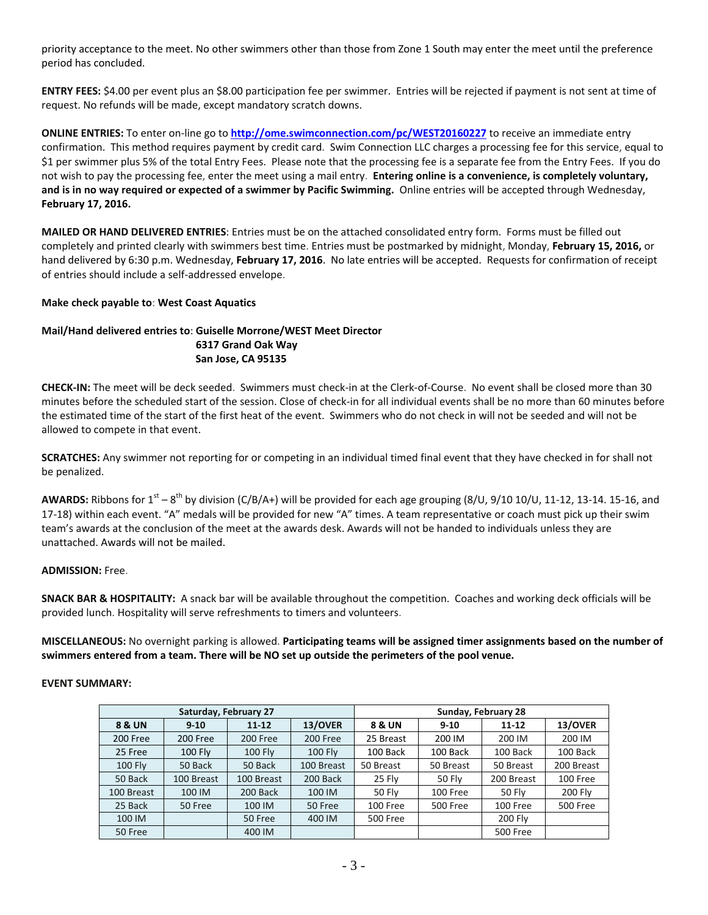priority acceptance to the meet. No other swimmers other than those from Zone 1 South may enter the meet until the preference period has concluded.

**ENTRY FEES:** \$4.00 per event plus an \$8.00 participation fee per swimmer. Entries will be rejected if payment is not sent at time of request. No refunds will be made, except mandatory scratch downs.

**ONLINE ENTRIES:** To enter on-line go to **<http://ome.swimconnection.com/pc/WEST20160227>** to receive an immediate entry confirmation. This method requires payment by credit card. Swim Connection LLC charges a processing fee for this service, equal to \$1 per swimmer plus 5% of the total Entry Fees. Please note that the processing fee is a separate fee from the Entry Fees. If you do not wish to pay the processing fee, enter the meet using a mail entry. **Entering online is a convenience, is completely voluntary, and is in no way required or expected of a swimmer by Pacific Swimming.** Online entries will be accepted through Wednesday, **February 17, 2016.**

**MAILED OR HAND DELIVERED ENTRIES**: Entries must be on the attached consolidated entry form. Forms must be filled out completely and printed clearly with swimmers best time. Entries must be postmarked by midnight, Monday, **February 15, 2016,** or hand delivered by 6:30 p.m. Wednesday, **February 17, 2016**. No late entries will be accepted. Requests for confirmation of receipt of entries should include a self-addressed envelope.

### **Make check payable to**: **West Coast Aquatics**

# **Mail/Hand delivered entries to**: **Guiselle Morrone/WEST Meet Director 6317 Grand Oak Way San Jose, CA 95135**

**CHECK-IN:** The meet will be deck seeded. Swimmers must check-in at the Clerk-of-Course. No event shall be closed more than 30 minutes before the scheduled start of the session. Close of check-in for all individual events shall be no more than 60 minutes before the estimated time of the start of the first heat of the event. Swimmers who do not check in will not be seeded and will not be allowed to compete in that event.

**SCRATCHES:** Any swimmer not reporting for or competing in an individual timed final event that they have checked in for shall not be penalized.

AWARDS: Ribbons for 1<sup>st</sup> – 8<sup>th</sup> by division (C/B/A+) will be provided for each age grouping (8/U, 9/10 10/U, 11-12, 13-14. 15-16, and 17-18) within each event. "A" medals will be provided for new "A" times. A team representative or coach must pick up their swim team's awards at the conclusion of the meet at the awards desk. Awards will not be handed to individuals unless they are unattached. Awards will not be mailed.

### **ADMISSION:** Free.

**SNACK BAR & HOSPITALITY:** A snack bar will be available throughout the competition. Coaches and working deck officials will be provided lunch. Hospitality will serve refreshments to timers and volunteers.

**MISCELLANEOUS:** No overnight parking is allowed. **Participating teams will be assigned timer assignments based on the number of swimmers entered from a team. There will be NO set up outside the perimeters of the pool venue.**

### **EVENT SUMMARY:**

|                | Saturday, February 27 |            |                | Sunday, February 28 |                 |                 |                 |  |  |  |
|----------------|-----------------------|------------|----------------|---------------------|-----------------|-----------------|-----------------|--|--|--|
| 8 & UN         | $9 - 10$              | $11 - 12$  | 13/OVER        | 8 & UN              | $9 - 10$        | $11 - 12$       | 13/OVER         |  |  |  |
| 200 Free       | 200 Free              | 200 Free   | 200 Free       | 25 Breast           | 200 IM          | 200 IM          | 200 IM          |  |  |  |
| 25 Free        | <b>100 Fly</b>        | 100 Fly    | <b>100 Fly</b> | 100 Back            | 100 Back        | 100 Back        | 100 Back        |  |  |  |
| <b>100 Fly</b> | 50 Back               | 50 Back    | 100 Breast     | 50 Breast           | 50 Breast       | 50 Breast       | 200 Breast      |  |  |  |
| 50 Back        | 100 Breast            | 100 Breast | 200 Back       | 25 Fly              | 50 Fly          | 200 Breast      | 100 Free        |  |  |  |
| 100 Breast     | 100 IM                | 200 Back   | 100 IM         | 50 Fly              | 100 Free        | 50 Fly          | <b>200 Fly</b>  |  |  |  |
| 25 Back        | 50 Free               | 100 IM     | 50 Free        | 100 Free            | <b>500 Free</b> | 100 Free        | <b>500 Free</b> |  |  |  |
| 100 IM         |                       | 50 Free    | 400 IM         | <b>500 Free</b>     |                 | 200 Fly         |                 |  |  |  |
| 50 Free        |                       | 400 IM     |                |                     |                 | <b>500 Free</b> |                 |  |  |  |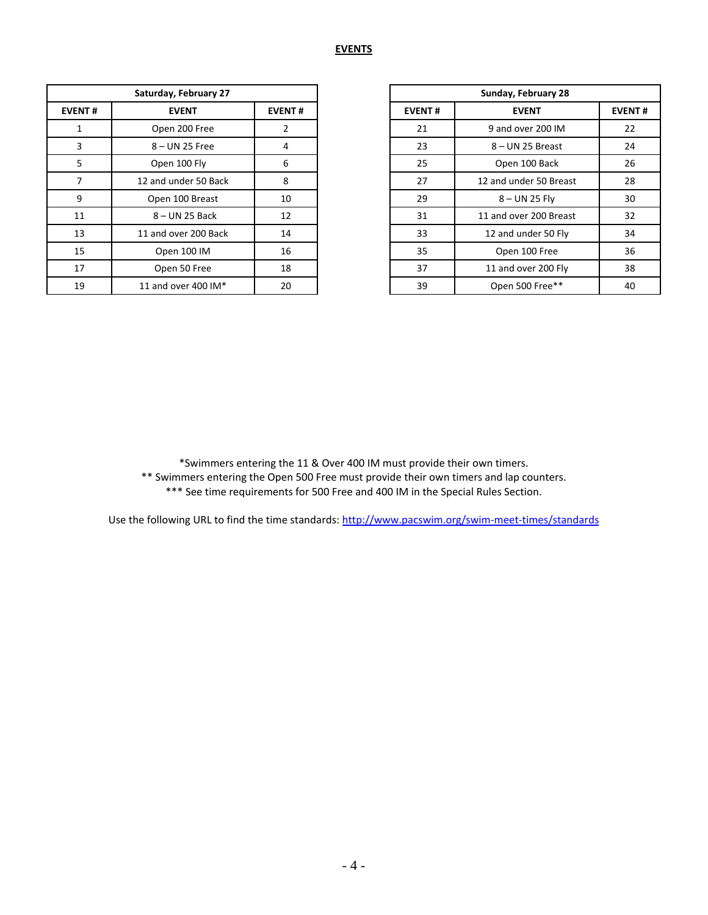| Saturday, February 27 |                      |                |  |  |
|-----------------------|----------------------|----------------|--|--|
| <b>EVENT#</b>         | <b>EVENT</b>         | <b>EVENT#</b>  |  |  |
| $\mathbf{1}$          | Open 200 Free        | $\overline{2}$ |  |  |
| 3                     | $8 - UN$ 25 Free     | 4              |  |  |
| 5                     | Open 100 Fly         | 6              |  |  |
|                       | 12 and under 50 Back | 8              |  |  |
| 9                     | Open 100 Breast      | 10             |  |  |
| 11                    | 8 – UN 25 Back       | 12             |  |  |
| 13                    | 11 and over 200 Back | 14             |  |  |
| 15                    | Open 100 IM          | 16             |  |  |
| 17                    | Open 50 Free         | 18             |  |  |
| 19                    | 11 and over 400 IM*  | 20             |  |  |

|                | Saturday, February 27 |               |  |  |
|----------------|-----------------------|---------------|--|--|
| NT#            | <b>EVENT</b>          | <b>EVENT#</b> |  |  |
| 1              | Open 200 Free         | 2             |  |  |
| 3              | 8-UN 25 Free          | 4             |  |  |
|                | Open 100 Fly          | 6             |  |  |
| $\overline{7}$ | 12 and under 50 Back  | 8             |  |  |
| 9              | Open 100 Breast       | 10            |  |  |
| $\overline{1}$ | $8 - UN$ 25 Back      | 12            |  |  |
| L3             | 11 and over 200 Back  | 14            |  |  |
| L5             | Open 100 IM           | 16            |  |  |
| L7             | Open 50 Free          | 18            |  |  |
| L9             | 11 and over 400 $IM*$ | 20            |  |  |

\*Swimmers entering the 11 & Over 400 IM must provide their own timers.

\*\* Swimmers entering the Open 500 Free must provide their own timers and lap counters. \*\*\* See time requirements for 500 Free and 400 IM in the Special Rules Section.

Use the following URL to find the time standards:<http://www.pacswim.org/swim-meet-times/standards>